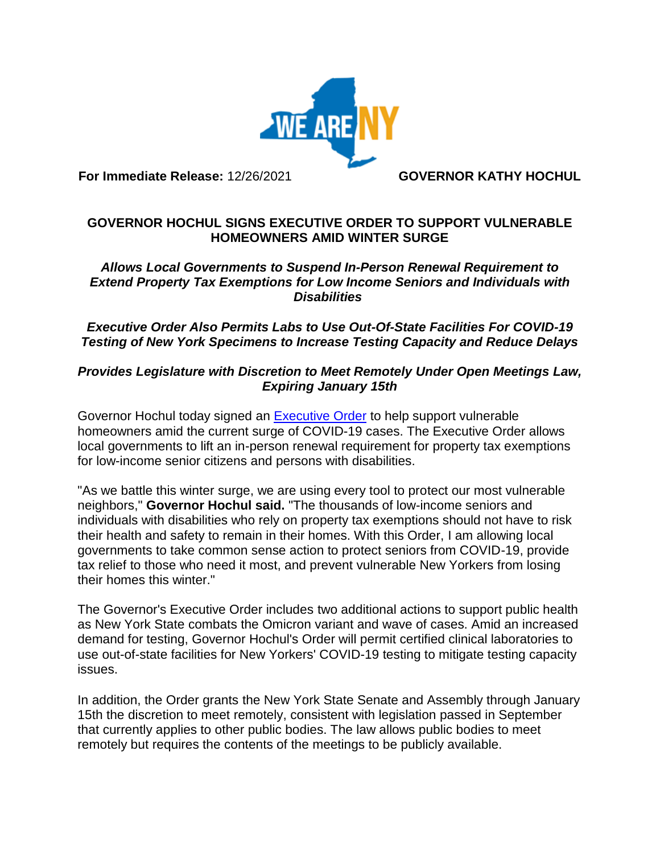

**For Immediate Release:** 12/26/2021 **GOVERNOR KATHY HOCHUL**

## **GOVERNOR HOCHUL SIGNS EXECUTIVE ORDER TO SUPPORT VULNERABLE HOMEOWNERS AMID WINTER SURGE**

## *Allows Local Governments to Suspend In-Person Renewal Requirement to Extend Property Tax Exemptions for Low Income Seniors and Individuals with Disabilities*

*Executive Order Also Permits Labs to Use Out-Of-State Facilities For COVID-19 Testing of New York Specimens to Increase Testing Capacity and Reduce Delays*

## *Provides Legislature with Discretion to Meet Remotely Under Open Meetings Law, Expiring January 15th*

Governor Hochul today signed an [Executive](https://www.governor.ny.gov/executive-order/no-111-declaring-disaster-emergency-state-new-york) Order to help support vulnerable homeowners amid the current surge of COVID-19 cases. The Executive Order allows local governments to lift an in-person renewal requirement for property tax exemptions for low-income senior citizens and persons with disabilities.

"As we battle this winter surge, we are using every tool to protect our most vulnerable neighbors," **Governor Hochul said.** "The thousands of low-income seniors and individuals with disabilities who rely on property tax exemptions should not have to risk their health and safety to remain in their homes. With this Order, I am allowing local governments to take common sense action to protect seniors from COVID-19, provide tax relief to those who need it most, and prevent vulnerable New Yorkers from losing their homes this winter."

The Governor's Executive Order includes two additional actions to support public health as New York State combats the Omicron variant and wave of cases. Amid an increased demand for testing, Governor Hochul's Order will permit certified clinical laboratories to use out-of-state facilities for New Yorkers' COVID-19 testing to mitigate testing capacity issues.

In addition, the Order grants the New York State Senate and Assembly through January 15th the discretion to meet remotely, consistent with legislation passed in September that currently applies to other public bodies. The law allows public bodies to meet remotely but requires the contents of the meetings to be publicly available.